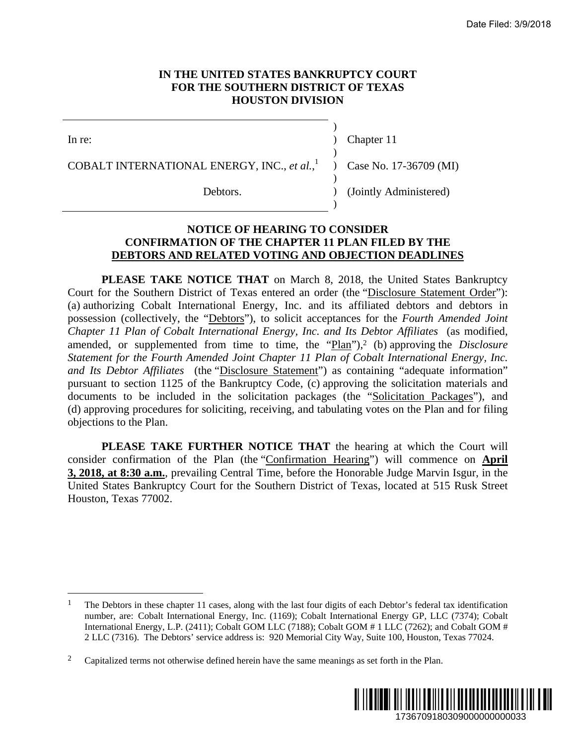### **IN THE UNITED STATES BANKRUPTCY COURT FOR THE SOUTHERN DISTRICT OF TEXAS HOUSTON DIVISION**

 $\overline{a}$ 

In re: (a) Chapter 11

)

)

)

)

COBALT INTERNATIONAL ENERGY, INC., *et al.*,

Debtors. (Jointly Administered)

) Case No. 17-36709 (MI)

#### **NOTICE OF HEARING TO CONSIDER CONFIRMATION OF THE CHAPTER 11 PLAN FILED BY THE DEBTORS AND RELATED VOTING AND OBJECTION DEADLINES**

**PLEASE TAKE NOTICE THAT** on March 8, 2018, the United States Bankruptcy Court for the Southern District of Texas entered an order (the "Disclosure Statement Order"): (a) authorizing Cobalt International Energy, Inc. and its affiliated debtors and debtors in possession (collectively, the "Debtors"), to solicit acceptances for the *Fourth Amended Joint Chapter 11 Plan of Cobalt International Energy, Inc. and Its Debtor Affiliates* (as modified, amended, or supplemented from time to time, the "Plan"),<sup>2</sup> (b) approving the *Disclosure Statement for the Fourth Amended Joint Chapter 11 Plan of Cobalt International Energy, Inc. and Its Debtor Affiliates* (the "Disclosure Statement") as containing "adequate information" pursuant to section 1125 of the Bankruptcy Code, (c) approving the solicitation materials and documents to be included in the solicitation packages (the "Solicitation Packages"), and (d) approving procedures for soliciting, receiving, and tabulating votes on the Plan and for filing objections to the Plan. Date Filed: 3/9/2018<br>
URT<br>
1736709 (MI)<br>
1736709 (MI)<br>
Iministered)<br> **D BY THE**<br> **DEADLINES**<br>
nited States Bankruptcy<br>
since Statement Order"):<br>
Fourth Amended Joint<br> *Affiliates* (as modified,<br> *Affiliates* (as modified,

**PLEASE TAKE FURTHER NOTICE THAT** the hearing at which the Court will consider confirmation of the Plan (the "Confirmation Hearing") will commence on **April 3, 2018, at 8:30 a.m.**, prevailing Central Time, before the Honorable Judge Marvin Isgur, in the United States Bankruptcy Court for the Southern District of Texas, located at 515 Rusk Street Houston, Texas 77002.

<sup>&</sup>lt;sup>2</sup> Capitalized terms not otherwise defined herein have the same meanings as set forth in the Plan.



<sup>&</sup>lt;sup>1</sup> The Debtors in these chapter 11 cases, along with the last four digits of each Debtor's federal tax identification number, are: Cobalt International Energy, Inc. (1169); Cobalt International Energy GP, LLC (7374); Cobalt International Energy, L.P. (2411); Cobalt GOM LLC (7188); Cobalt GOM # 1 LLC (7262); and Cobalt GOM # 2 LLC (7316). The Debtors' service address is: 920 Memorial City Way, Suite 100, Houston, Texas 77024.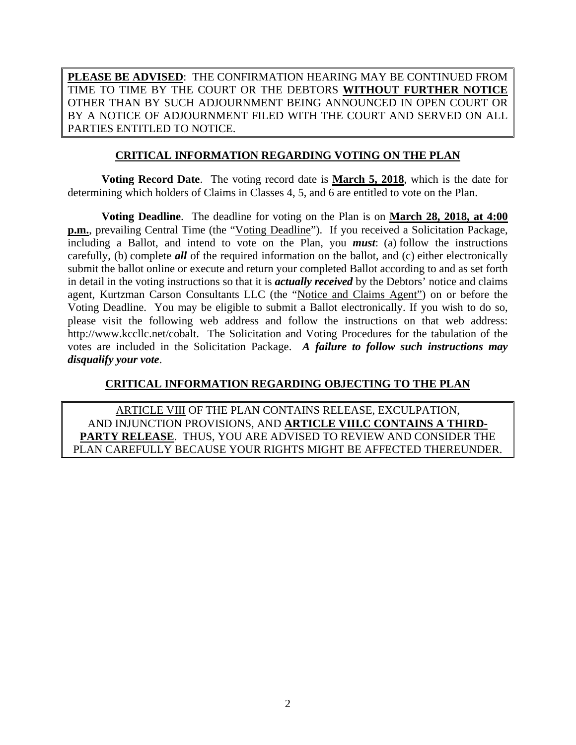**PLEASE BE ADVISED**: THE CONFIRMATION HEARING MAY BE CONTINUED FROM TIME TO TIME BY THE COURT OR THE DEBTORS **WITHOUT FURTHER NOTICE** OTHER THAN BY SUCH ADJOURNMENT BEING ANNOUNCED IN OPEN COURT OR BY A NOTICE OF ADJOURNMENT FILED WITH THE COURT AND SERVED ON ALL PARTIES ENTITLED TO NOTICE.

## **CRITICAL INFORMATION REGARDING VOTING ON THE PLAN**

**Voting Record Date**. The voting record date is **March 5, 2018**, which is the date for determining which holders of Claims in Classes 4, 5, and 6 are entitled to vote on the Plan.

**Voting Deadline**. The deadline for voting on the Plan is on **March 28, 2018, at 4:00 p.m.**, prevailing Central Time (the "Voting Deadline"). If you received a Solicitation Package, including a Ballot, and intend to vote on the Plan, you *must*: (a) follow the instructions carefully, (b) complete *all* of the required information on the ballot, and (c) either electronically submit the ballot online or execute and return your completed Ballot according to and as set forth in detail in the voting instructions so that it is *actually received* by the Debtors' notice and claims agent, Kurtzman Carson Consultants LLC (the "Notice and Claims Agent") on or before the Voting Deadline. You may be eligible to submit a Ballot electronically. If you wish to do so, please visit the following web address and follow the instructions on that web address: http://www.kccllc.net/cobalt. The Solicitation and Voting Procedures for the tabulation of the votes are included in the Solicitation Package. *A failure to follow such instructions may disqualify your vote*.

## **CRITICAL INFORMATION REGARDING OBJECTING TO THE PLAN**

ARTICLE VIII OF THE PLAN CONTAINS RELEASE, EXCULPATION, AND INJUNCTION PROVISIONS, AND **ARTICLE VIII.C CONTAINS A THIRD-PARTY RELEASE**. THUS, YOU ARE ADVISED TO REVIEW AND CONSIDER THE PLAN CAREFULLY BECAUSE YOUR RIGHTS MIGHT BE AFFECTED THEREUNDER.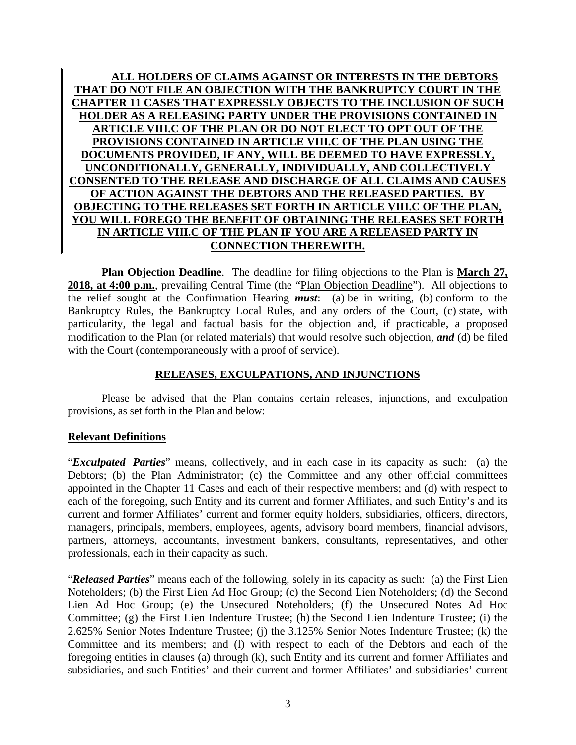**ALL HOLDERS OF CLAIMS AGAINST OR INTERESTS IN THE DEBTORS THAT DO NOT FILE AN OBJECTION WITH THE BANKRUPTCY COURT IN THE CHAPTER 11 CASES THAT EXPRESSLY OBJECTS TO THE INCLUSION OF SUCH HOLDER AS A RELEASING PARTY UNDER THE PROVISIONS CONTAINED IN ARTICLE VIII.C OF THE PLAN OR DO NOT ELECT TO OPT OUT OF THE PROVISIONS CONTAINED IN ARTICLE VIII.C OF THE PLAN USING THE DOCUMENTS PROVIDED, IF ANY, WILL BE DEEMED TO HAVE EXPRESSLY, UNCONDITIONALLY, GENERALLY, INDIVIDUALLY, AND COLLECTIVELY CONSENTED TO THE RELEASE AND DISCHARGE OF ALL CLAIMS AND CAUSES OF ACTION AGAINST THE DEBTORS AND THE RELEASED PARTIES. BY OBJECTING TO THE RELEASES SET FORTH IN ARTICLE VIII.C OF THE PLAN, YOU WILL FOREGO THE BENEFIT OF OBTAINING THE RELEASES SET FORTH IN ARTICLE VIII.C OF THE PLAN IF YOU ARE A RELEASED PARTY IN CONNECTION THEREWITH.** 

**Plan Objection Deadline**. The deadline for filing objections to the Plan is **March 27, 2018, at 4:00 p.m.**, prevailing Central Time (the "Plan Objection Deadline"). All objections to the relief sought at the Confirmation Hearing *must*: (a) be in writing, (b) conform to the Bankruptcy Rules, the Bankruptcy Local Rules, and any orders of the Court, (c) state, with particularity, the legal and factual basis for the objection and, if practicable, a proposed modification to the Plan (or related materials) that would resolve such objection, *and* (d) be filed with the Court (contemporaneously with a proof of service).

# **RELEASES, EXCULPATIONS, AND INJUNCTIONS**

 Please be advised that the Plan contains certain releases, injunctions, and exculpation provisions, as set forth in the Plan and below:

# **Relevant Definitions**

"*Exculpated Parties*" means, collectively, and in each case in its capacity as such: (a) the Debtors; (b) the Plan Administrator; (c) the Committee and any other official committees appointed in the Chapter 11 Cases and each of their respective members; and (d) with respect to each of the foregoing, such Entity and its current and former Affiliates, and such Entity's and its current and former Affiliates' current and former equity holders, subsidiaries, officers, directors, managers, principals, members, employees, agents, advisory board members, financial advisors, partners, attorneys, accountants, investment bankers, consultants, representatives, and other professionals, each in their capacity as such.

"*Released Parties*" means each of the following, solely in its capacity as such: (a) the First Lien Noteholders; (b) the First Lien Ad Hoc Group; (c) the Second Lien Noteholders; (d) the Second Lien Ad Hoc Group; (e) the Unsecured Noteholders; (f) the Unsecured Notes Ad Hoc Committee; (g) the First Lien Indenture Trustee; (h) the Second Lien Indenture Trustee; (i) the 2.625% Senior Notes Indenture Trustee; (j) the 3.125% Senior Notes Indenture Trustee; (k) the Committee and its members; and (l) with respect to each of the Debtors and each of the foregoing entities in clauses (a) through (k), such Entity and its current and former Affiliates and subsidiaries, and such Entities' and their current and former Affiliates' and subsidiaries' current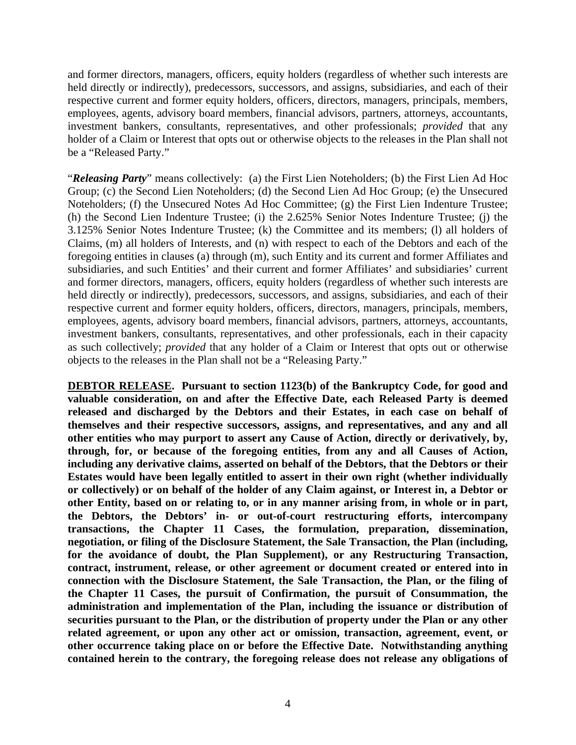and former directors, managers, officers, equity holders (regardless of whether such interests are held directly or indirectly), predecessors, successors, and assigns, subsidiaries, and each of their respective current and former equity holders, officers, directors, managers, principals, members, employees, agents, advisory board members, financial advisors, partners, attorneys, accountants, investment bankers, consultants, representatives, and other professionals; *provided* that any holder of a Claim or Interest that opts out or otherwise objects to the releases in the Plan shall not be a "Released Party."

"*Releasing Party*" means collectively: (a) the First Lien Noteholders; (b) the First Lien Ad Hoc Group; (c) the Second Lien Noteholders; (d) the Second Lien Ad Hoc Group; (e) the Unsecured Noteholders; (f) the Unsecured Notes Ad Hoc Committee; (g) the First Lien Indenture Trustee; (h) the Second Lien Indenture Trustee; (i) the 2.625% Senior Notes Indenture Trustee; (j) the 3.125% Senior Notes Indenture Trustee; (k) the Committee and its members; (l) all holders of Claims, (m) all holders of Interests, and (n) with respect to each of the Debtors and each of the foregoing entities in clauses (a) through (m), such Entity and its current and former Affiliates and subsidiaries, and such Entities' and their current and former Affiliates' and subsidiaries' current and former directors, managers, officers, equity holders (regardless of whether such interests are held directly or indirectly), predecessors, successors, and assigns, subsidiaries, and each of their respective current and former equity holders, officers, directors, managers, principals, members, employees, agents, advisory board members, financial advisors, partners, attorneys, accountants, investment bankers, consultants, representatives, and other professionals, each in their capacity as such collectively; *provided* that any holder of a Claim or Interest that opts out or otherwise objects to the releases in the Plan shall not be a "Releasing Party."

**DEBTOR RELEASE. Pursuant to section 1123(b) of the Bankruptcy Code, for good and valuable consideration, on and after the Effective Date, each Released Party is deemed released and discharged by the Debtors and their Estates, in each case on behalf of themselves and their respective successors, assigns, and representatives, and any and all other entities who may purport to assert any Cause of Action, directly or derivatively, by, through, for, or because of the foregoing entities, from any and all Causes of Action, including any derivative claims, asserted on behalf of the Debtors, that the Debtors or their Estates would have been legally entitled to assert in their own right (whether individually or collectively) or on behalf of the holder of any Claim against, or Interest in, a Debtor or other Entity, based on or relating to, or in any manner arising from, in whole or in part, the Debtors, the Debtors' in- or out-of-court restructuring efforts, intercompany transactions, the Chapter 11 Cases, the formulation, preparation, dissemination, negotiation, or filing of the Disclosure Statement, the Sale Transaction, the Plan (including, for the avoidance of doubt, the Plan Supplement), or any Restructuring Transaction, contract, instrument, release, or other agreement or document created or entered into in connection with the Disclosure Statement, the Sale Transaction, the Plan, or the filing of the Chapter 11 Cases, the pursuit of Confirmation, the pursuit of Consummation, the administration and implementation of the Plan, including the issuance or distribution of securities pursuant to the Plan, or the distribution of property under the Plan or any other related agreement, or upon any other act or omission, transaction, agreement, event, or other occurrence taking place on or before the Effective Date. Notwithstanding anything contained herein to the contrary, the foregoing release does not release any obligations of**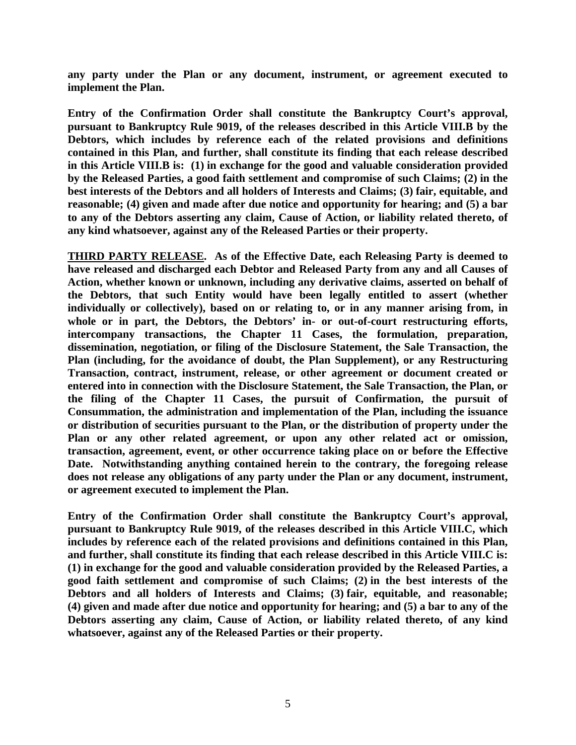**any party under the Plan or any document, instrument, or agreement executed to implement the Plan.** 

**Entry of the Confirmation Order shall constitute the Bankruptcy Court's approval, pursuant to Bankruptcy Rule 9019, of the releases described in this Article VIII.B by the Debtors, which includes by reference each of the related provisions and definitions contained in this Plan, and further, shall constitute its finding that each release described in this Article VIII.B is: (1) in exchange for the good and valuable consideration provided by the Released Parties, a good faith settlement and compromise of such Claims; (2) in the best interests of the Debtors and all holders of Interests and Claims; (3) fair, equitable, and reasonable; (4) given and made after due notice and opportunity for hearing; and (5) a bar to any of the Debtors asserting any claim, Cause of Action, or liability related thereto, of any kind whatsoever, against any of the Released Parties or their property.** 

**THIRD PARTY RELEASE. As of the Effective Date, each Releasing Party is deemed to have released and discharged each Debtor and Released Party from any and all Causes of Action, whether known or unknown, including any derivative claims, asserted on behalf of the Debtors, that such Entity would have been legally entitled to assert (whether individually or collectively), based on or relating to, or in any manner arising from, in whole or in part, the Debtors, the Debtors' in- or out-of-court restructuring efforts, intercompany transactions, the Chapter 11 Cases, the formulation, preparation, dissemination, negotiation, or filing of the Disclosure Statement, the Sale Transaction, the Plan (including, for the avoidance of doubt, the Plan Supplement), or any Restructuring Transaction, contract, instrument, release, or other agreement or document created or entered into in connection with the Disclosure Statement, the Sale Transaction, the Plan, or the filing of the Chapter 11 Cases, the pursuit of Confirmation, the pursuit of Consummation, the administration and implementation of the Plan, including the issuance or distribution of securities pursuant to the Plan, or the distribution of property under the Plan or any other related agreement, or upon any other related act or omission, transaction, agreement, event, or other occurrence taking place on or before the Effective Date. Notwithstanding anything contained herein to the contrary, the foregoing release does not release any obligations of any party under the Plan or any document, instrument, or agreement executed to implement the Plan.** 

**Entry of the Confirmation Order shall constitute the Bankruptcy Court's approval, pursuant to Bankruptcy Rule 9019, of the releases described in this Article VIII.C, which includes by reference each of the related provisions and definitions contained in this Plan, and further, shall constitute its finding that each release described in this Article VIII.C is: (1) in exchange for the good and valuable consideration provided by the Released Parties, a good faith settlement and compromise of such Claims; (2) in the best interests of the Debtors and all holders of Interests and Claims; (3) fair, equitable, and reasonable; (4) given and made after due notice and opportunity for hearing; and (5) a bar to any of the Debtors asserting any claim, Cause of Action, or liability related thereto, of any kind whatsoever, against any of the Released Parties or their property.**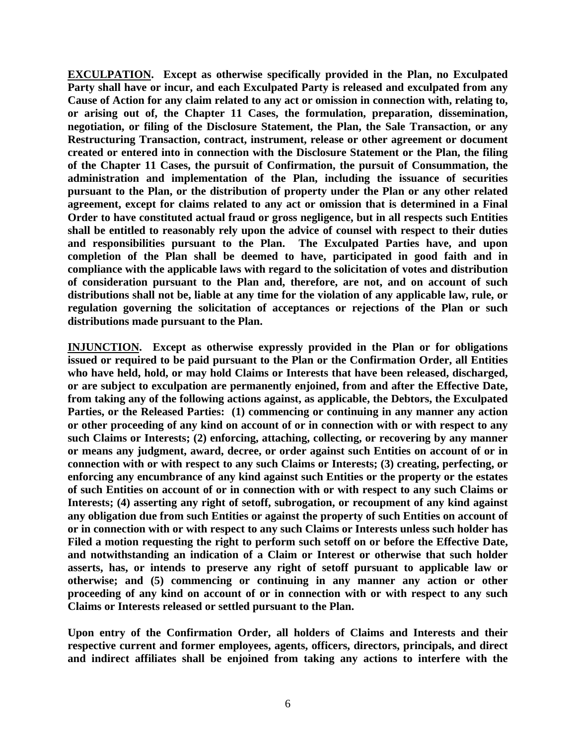**EXCULPATION. Except as otherwise specifically provided in the Plan, no Exculpated Party shall have or incur, and each Exculpated Party is released and exculpated from any Cause of Action for any claim related to any act or omission in connection with, relating to, or arising out of, the Chapter 11 Cases, the formulation, preparation, dissemination, negotiation, or filing of the Disclosure Statement, the Plan, the Sale Transaction, or any Restructuring Transaction, contract, instrument, release or other agreement or document created or entered into in connection with the Disclosure Statement or the Plan, the filing of the Chapter 11 Cases, the pursuit of Confirmation, the pursuit of Consummation, the administration and implementation of the Plan, including the issuance of securities pursuant to the Plan, or the distribution of property under the Plan or any other related agreement, except for claims related to any act or omission that is determined in a Final Order to have constituted actual fraud or gross negligence, but in all respects such Entities shall be entitled to reasonably rely upon the advice of counsel with respect to their duties and responsibilities pursuant to the Plan. The Exculpated Parties have, and upon completion of the Plan shall be deemed to have, participated in good faith and in compliance with the applicable laws with regard to the solicitation of votes and distribution of consideration pursuant to the Plan and, therefore, are not, and on account of such distributions shall not be, liable at any time for the violation of any applicable law, rule, or regulation governing the solicitation of acceptances or rejections of the Plan or such distributions made pursuant to the Plan.** 

**INJUNCTION. Except as otherwise expressly provided in the Plan or for obligations issued or required to be paid pursuant to the Plan or the Confirmation Order, all Entities who have held, hold, or may hold Claims or Interests that have been released, discharged, or are subject to exculpation are permanently enjoined, from and after the Effective Date, from taking any of the following actions against, as applicable, the Debtors, the Exculpated**  Parties, or the Released Parties: (1) commencing or continuing in any manner any action **or other proceeding of any kind on account of or in connection with or with respect to any such Claims or Interests; (2) enforcing, attaching, collecting, or recovering by any manner or means any judgment, award, decree, or order against such Entities on account of or in connection with or with respect to any such Claims or Interests; (3) creating, perfecting, or enforcing any encumbrance of any kind against such Entities or the property or the estates of such Entities on account of or in connection with or with respect to any such Claims or Interests; (4) asserting any right of setoff, subrogation, or recoupment of any kind against any obligation due from such Entities or against the property of such Entities on account of or in connection with or with respect to any such Claims or Interests unless such holder has Filed a motion requesting the right to perform such setoff on or before the Effective Date, and notwithstanding an indication of a Claim or Interest or otherwise that such holder asserts, has, or intends to preserve any right of setoff pursuant to applicable law or otherwise; and (5) commencing or continuing in any manner any action or other proceeding of any kind on account of or in connection with or with respect to any such Claims or Interests released or settled pursuant to the Plan.** 

**Upon entry of the Confirmation Order, all holders of Claims and Interests and their respective current and former employees, agents, officers, directors, principals, and direct and indirect affiliates shall be enjoined from taking any actions to interfere with the**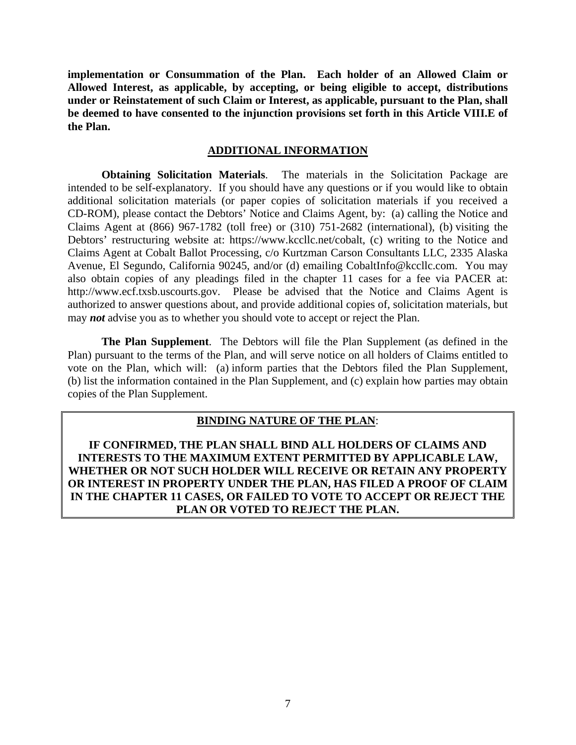**implementation or Consummation of the Plan. Each holder of an Allowed Claim or Allowed Interest, as applicable, by accepting, or being eligible to accept, distributions under or Reinstatement of such Claim or Interest, as applicable, pursuant to the Plan, shall be deemed to have consented to the injunction provisions set forth in this Article VIII.E of the Plan.** 

#### **ADDITIONAL INFORMATION**

**Obtaining Solicitation Materials**. The materials in the Solicitation Package are intended to be self-explanatory. If you should have any questions or if you would like to obtain additional solicitation materials (or paper copies of solicitation materials if you received a CD-ROM), please contact the Debtors' Notice and Claims Agent, by: (a) calling the Notice and Claims Agent at (866) 967-1782 (toll free) or (310) 751-2682 (international), (b) visiting the Debtors' restructuring website at: https://www.kccllc.net/cobalt, (c) writing to the Notice and Claims Agent at Cobalt Ballot Processing, c/o Kurtzman Carson Consultants LLC, 2335 Alaska Avenue, El Segundo, California 90245, and/or (d) emailing CobaltInfo@kccllc.com. You may also obtain copies of any pleadings filed in the chapter 11 cases for a fee via PACER at: http://www.ecf.txsb.uscourts.gov. Please be advised that the Notice and Claims Agent is authorized to answer questions about, and provide additional copies of, solicitation materials, but may *not* advise you as to whether you should vote to accept or reject the Plan.

**The Plan Supplement**. The Debtors will file the Plan Supplement (as defined in the Plan) pursuant to the terms of the Plan, and will serve notice on all holders of Claims entitled to vote on the Plan, which will: (a) inform parties that the Debtors filed the Plan Supplement, (b) list the information contained in the Plan Supplement, and (c) explain how parties may obtain copies of the Plan Supplement.

## **BINDING NATURE OF THE PLAN**:

**IF CONFIRMED, THE PLAN SHALL BIND ALL HOLDERS OF CLAIMS AND INTERESTS TO THE MAXIMUM EXTENT PERMITTED BY APPLICABLE LAW, WHETHER OR NOT SUCH HOLDER WILL RECEIVE OR RETAIN ANY PROPERTY OR INTEREST IN PROPERTY UNDER THE PLAN, HAS FILED A PROOF OF CLAIM IN THE CHAPTER 11 CASES, OR FAILED TO VOTE TO ACCEPT OR REJECT THE PLAN OR VOTED TO REJECT THE PLAN.**